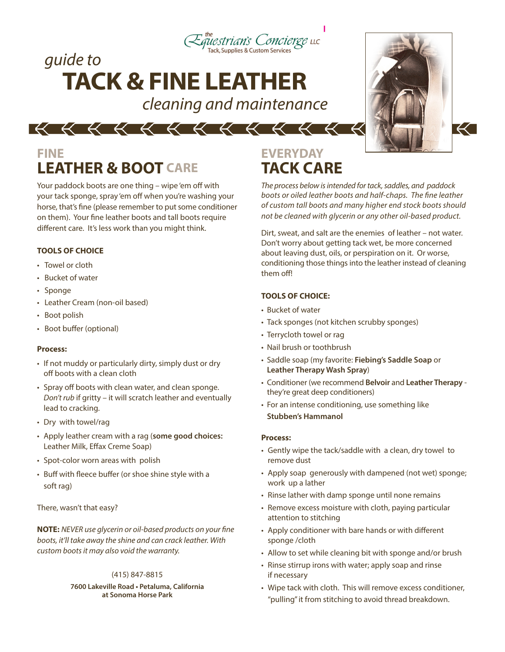

## *guide to* **TACK & FINE LEATHER**

*cleaning and maintenance*



## **FINE LEATHER & BOOT CARE TACK CARE**

Your paddock boots are one thing – wipe 'em off with your tack sponge, spray 'em off when you're washing your horse, that's fine (please remember to put some conditioner on them). Your fine leather boots and tall boots require different care. It's less work than you might think.

#### **TOOLS OF CHOICE**

- Towel or cloth
- Bucket of water
- Sponge
- Leather Cream (non-oil based)
- Boot polish
- Boot buffer (optional)

#### **Process:**

- If not muddy or particularly dirty, simply dust or dry off boots with a clean cloth
- Spray off boots with clean water, and clean sponge. *Don't rub* if gritty – it will scratch leather and eventually lead to cracking.
- Dry with towel/rag
- Apply leather cream with a rag (**some good choices:** Leather Milk, Effax Creme Soap)
- Spot-color worn areas with polish
- Buff with fleece buffer (or shoe shine style with a soft rag)

There, wasn't that easy?

**NOTE:** *NEVER use glycerin or oil-based products on your fine boots, it'll take away the shine and can crack leather. With custom boots it may also void the warranty.*

#### (415) 847-8815

#### **7600 Lakeville Road • Petaluma, California at Sonoma Horse Park**

# **EVERYDAY**

*The process below is intended for tack, saddles, and paddock boots or oiled leather boots and half-chaps. The fine leather of custom tall boots and many higher end stock boots should not be cleaned with glycerin or any other oil-based product.*

Dirt, sweat, and salt are the enemies of leather – not water. Don't worry about getting tack wet, be more concerned about leaving dust, oils, or perspiration on it. Or worse, conditioning those things into the leather instead of cleaning them off!

#### **TOOLS OF CHOICE:**

- Bucket of water
- Tack sponges (not kitchen scrubby sponges)
- Terrycloth towel or rag
- Nail brush or toothbrush
- Saddle soap (my favorite: **Fiebing's Saddle Soap** or **Leather Therapy Wash Spray**)
- Conditioner (we recommend **Belvoir** and **Leather Therapy** they're great deep conditioners)
- For an intense conditioning, use something like **Stubben's Hammanol**

#### **Process:**

- Gently wipe the tack/saddle with a clean, dry towel to remove dust
- Apply soap generously with dampened (not wet) sponge; work up a lather
- Rinse lather with damp sponge until none remains
- Remove excess moisture with cloth, paying particular attention to stitching
- Apply conditioner with bare hands or with different sponge /cloth
- Allow to set while cleaning bit with sponge and/or brush
- Rinse stirrup irons with water; apply soap and rinse if necessary
- Wipe tack with cloth. This will remove excess conditioner, "pulling" it from stitching to avoid thread breakdown.